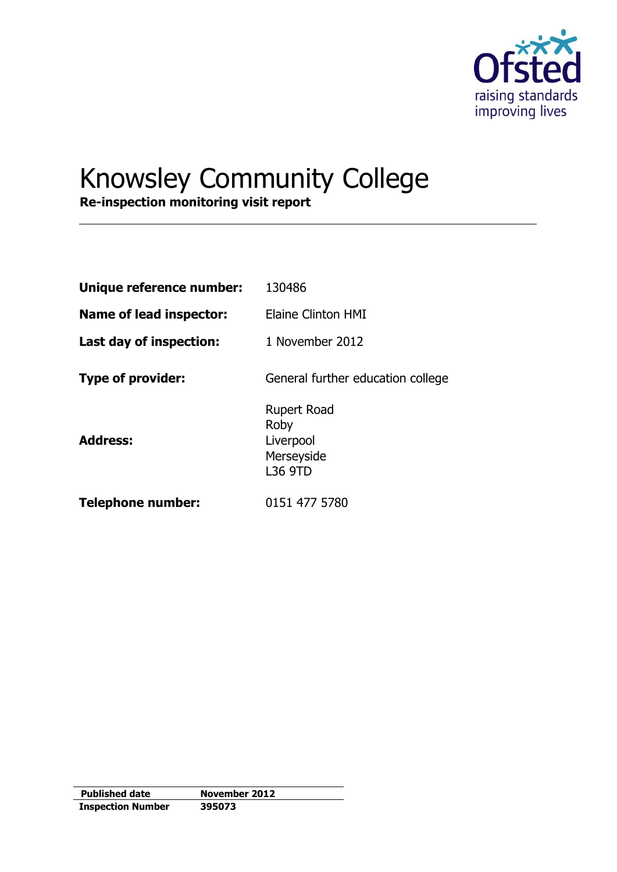

# Knowsley Community College

**Re-inspection monitoring visit report**

| Unique reference number:       | 130486                                                                  |
|--------------------------------|-------------------------------------------------------------------------|
| <b>Name of lead inspector:</b> | Elaine Clinton HMI                                                      |
| Last day of inspection:        | 1 November 2012                                                         |
| <b>Type of provider:</b>       | General further education college                                       |
| <b>Address:</b>                | <b>Rupert Road</b><br>Roby<br>Liverpool<br>Merseyside<br><b>L36 9TD</b> |
| <b>Telephone number:</b>       | 0151 477 5780                                                           |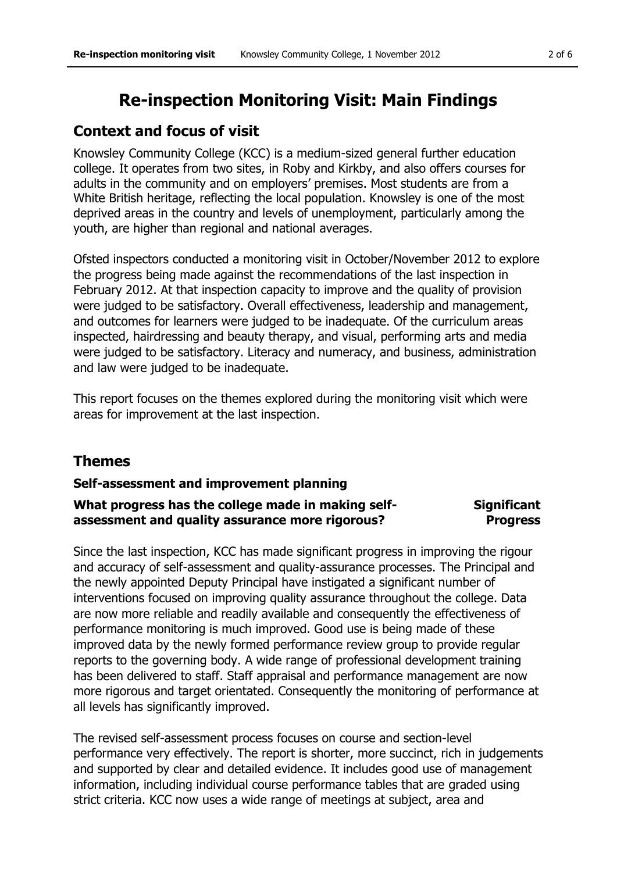# **Re-inspection Monitoring Visit: Main Findings**

# **Context and focus of visit**

Knowsley Community College (KCC) is a medium-sized general further education college. It operates from two sites, in Roby and Kirkby, and also offers courses for adults in the community and on employers' premises. Most students are from a White British heritage, reflecting the local population. Knowsley is one of the most deprived areas in the country and levels of unemployment, particularly among the youth, are higher than regional and national averages.

Ofsted inspectors conducted a monitoring visit in October/November 2012 to explore the progress being made against the recommendations of the last inspection in February 2012. At that inspection capacity to improve and the quality of provision were judged to be satisfactory. Overall effectiveness, leadership and management, and outcomes for learners were judged to be inadequate. Of the curriculum areas inspected, hairdressing and beauty therapy, and visual, performing arts and media were judged to be satisfactory. Literacy and numeracy, and business, administration and law were judged to be inadequate.

This report focuses on the themes explored during the monitoring visit which were areas for improvement at the last inspection.

# **Themes**

### **Self-assessment and improvement planning**

#### **What progress has the college made in making selfassessment and quality assurance more rigorous? Significant Progress**

Since the last inspection, KCC has made significant progress in improving the rigour and accuracy of self-assessment and quality-assurance processes. The Principal and the newly appointed Deputy Principal have instigated a significant number of interventions focused on improving quality assurance throughout the college. Data are now more reliable and readily available and consequently the effectiveness of performance monitoring is much improved. Good use is being made of these improved data by the newly formed performance review group to provide regular reports to the governing body. A wide range of professional development training has been delivered to staff. Staff appraisal and performance management are now more rigorous and target orientated. Consequently the monitoring of performance at all levels has significantly improved.

The revised self-assessment process focuses on course and section-level performance very effectively. The report is shorter, more succinct, rich in judgements and supported by clear and detailed evidence. It includes good use of management information, including individual course performance tables that are graded using strict criteria. KCC now uses a wide range of meetings at subject, area and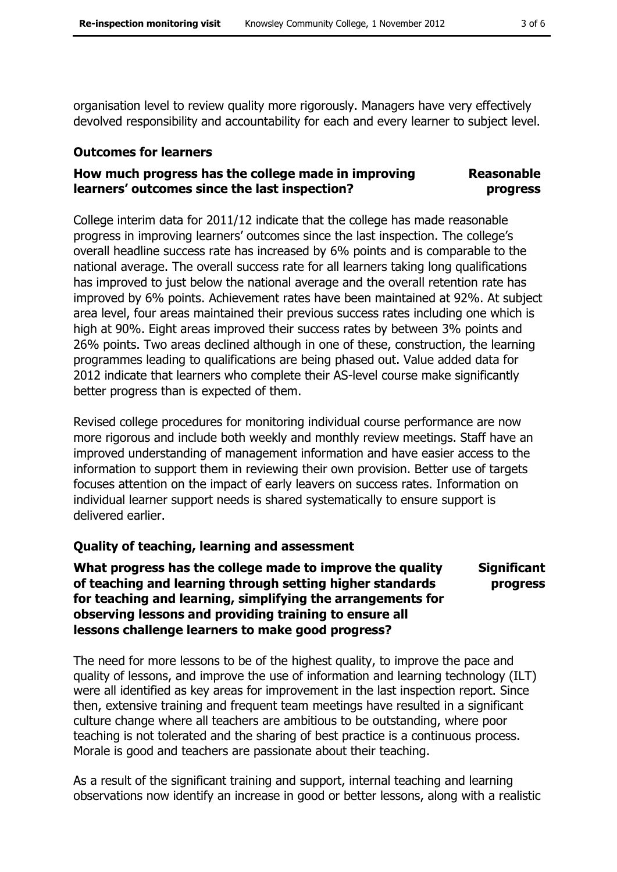organisation level to review quality more rigorously. Managers have very effectively devolved responsibility and accountability for each and every learner to subject level.

## **Outcomes for learners**

#### **How much progress has the college made in improving learners' outcomes since the last inspection? Reasonable progress**

College interim data for 2011/12 indicate that the college has made reasonable progress in improving learners' outcomes since the last inspection. The college's overall headline success rate has increased by 6% points and is comparable to the national average. The overall success rate for all learners taking long qualifications has improved to just below the national average and the overall retention rate has improved by 6% points. Achievement rates have been maintained at 92%. At subject area level, four areas maintained their previous success rates including one which is high at 90%. Eight areas improved their success rates by between 3% points and 26% points. Two areas declined although in one of these, construction, the learning programmes leading to qualifications are being phased out. Value added data for 2012 indicate that learners who complete their AS-level course make significantly better progress than is expected of them.

Revised college procedures for monitoring individual course performance are now more rigorous and include both weekly and monthly review meetings. Staff have an improved understanding of management information and have easier access to the information to support them in reviewing their own provision. Better use of targets focuses attention on the impact of early leavers on success rates. Information on individual learner support needs is shared systematically to ensure support is delivered earlier.

# **Quality of teaching, learning and assessment**

**What progress has the college made to improve the quality of teaching and learning through setting higher standards for teaching and learning, simplifying the arrangements for observing lessons and providing training to ensure all lessons challenge learners to make good progress?** 

**Significant progress** 

The need for more lessons to be of the highest quality, to improve the pace and quality of lessons, and improve the use of information and learning technology (ILT) were all identified as key areas for improvement in the last inspection report. Since then, extensive training and frequent team meetings have resulted in a significant culture change where all teachers are ambitious to be outstanding, where poor teaching is not tolerated and the sharing of best practice is a continuous process. Morale is good and teachers are passionate about their teaching.

As a result of the significant training and support, internal teaching and learning observations now identify an increase in good or better lessons, along with a realistic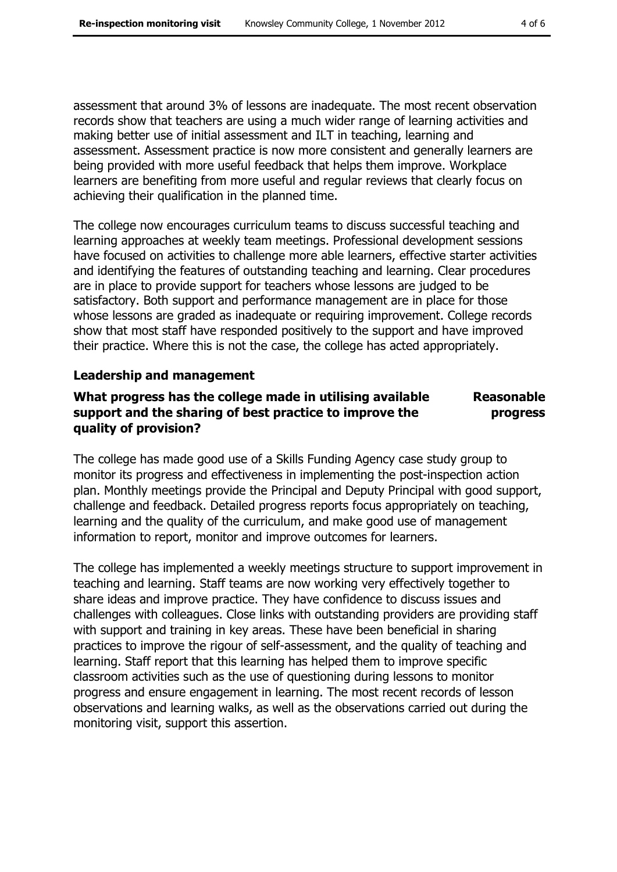assessment that around 3% of lessons are inadequate. The most recent observation records show that teachers are using a much wider range of learning activities and making better use of initial assessment and ILT in teaching, learning and assessment. Assessment practice is now more consistent and generally learners are being provided with more useful feedback that helps them improve. Workplace learners are benefiting from more useful and regular reviews that clearly focus on achieving their qualification in the planned time.

The college now encourages curriculum teams to discuss successful teaching and learning approaches at weekly team meetings. Professional development sessions have focused on activities to challenge more able learners, effective starter activities and identifying the features of outstanding teaching and learning. Clear procedures are in place to provide support for teachers whose lessons are judged to be satisfactory. Both support and performance management are in place for those whose lessons are graded as inadequate or requiring improvement. College records show that most staff have responded positively to the support and have improved their practice. Where this is not the case, the college has acted appropriately.

### **Leadership and management**

#### **What progress has the college made in utilising available support and the sharing of best practice to improve the quality of provision? Reasonable progress**

The college has made good use of a Skills Funding Agency case study group to monitor its progress and effectiveness in implementing the post-inspection action plan. Monthly meetings provide the Principal and Deputy Principal with good support, challenge and feedback. Detailed progress reports focus appropriately on teaching, learning and the quality of the curriculum, and make good use of management information to report, monitor and improve outcomes for learners.

The college has implemented a weekly meetings structure to support improvement in teaching and learning. Staff teams are now working very effectively together to share ideas and improve practice. They have confidence to discuss issues and challenges with colleagues. Close links with outstanding providers are providing staff with support and training in key areas. These have been beneficial in sharing practices to improve the rigour of self-assessment, and the quality of teaching and learning. Staff report that this learning has helped them to improve specific classroom activities such as the use of questioning during lessons to monitor progress and ensure engagement in learning. The most recent records of lesson observations and learning walks, as well as the observations carried out during the monitoring visit, support this assertion.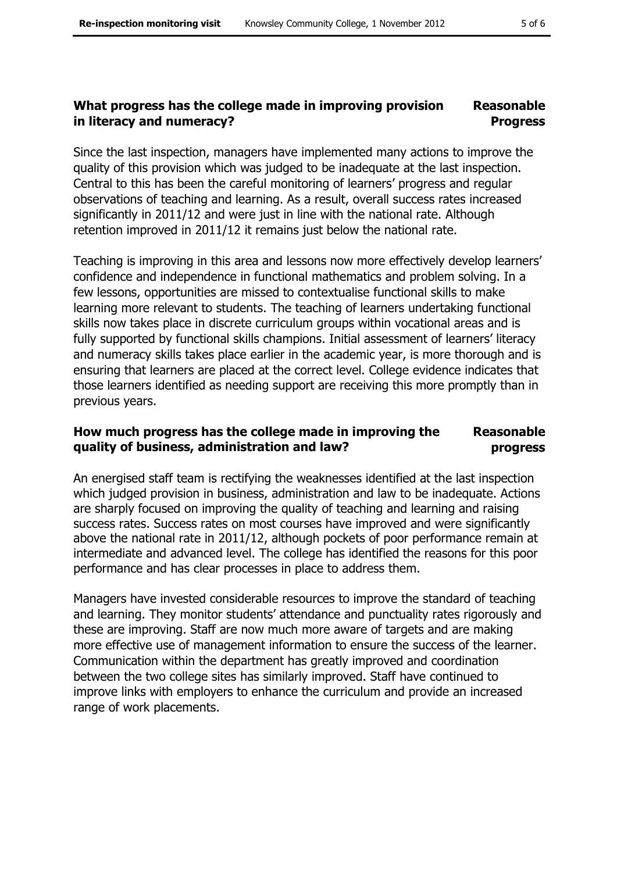#### **What progress has the college made in improving provision in literacy and numeracy? Reasonable Progress**

Since the last inspection, managers have implemented many actions to improve the quality of this provision which was judged to be inadequate at the last inspection. Central to this has been the careful monitoring of learners' progress and regular observations of teaching and learning. As a result, overall success rates increased significantly in 2011/12 and were just in line with the national rate. Although retention improved in 2011/12 it remains just below the national rate.

Teaching is improving in this area and lessons now more effectively develop learners' confidence and independence in functional mathematics and problem solving. In a few lessons, opportunities are missed to contextualise functional skills to make learning more relevant to students. The teaching of learners undertaking functional skills now takes place in discrete curriculum groups within vocational areas and is fully supported by functional skills champions. Initial assessment of learners' literacy and numeracy skills takes place earlier in the academic year, is more thorough and is ensuring that learners are placed at the correct level. College evidence indicates that those learners identified as needing support are receiving this more promptly than in previous years.

#### **How much progress has the college made in improving the quality of business, administration and law? Reasonable progress**

An energised staff team is rectifying the weaknesses identified at the last inspection which judged provision in business, administration and law to be inadequate. Actions are sharply focused on improving the quality of teaching and learning and raising success rates. Success rates on most courses have improved and were significantly above the national rate in 2011/12, although pockets of poor performance remain at intermediate and advanced level. The college has identified the reasons for this poor performance and has clear processes in place to address them.

Managers have invested considerable resources to improve the standard of teaching and learning. They monitor students' attendance and punctuality rates rigorously and these are improving. Staff are now much more aware of targets and are making more effective use of management information to ensure the success of the learner. Communication within the department has greatly improved and coordination between the two college sites has similarly improved. Staff have continued to improve links with employers to enhance the curriculum and provide an increased range of work placements.